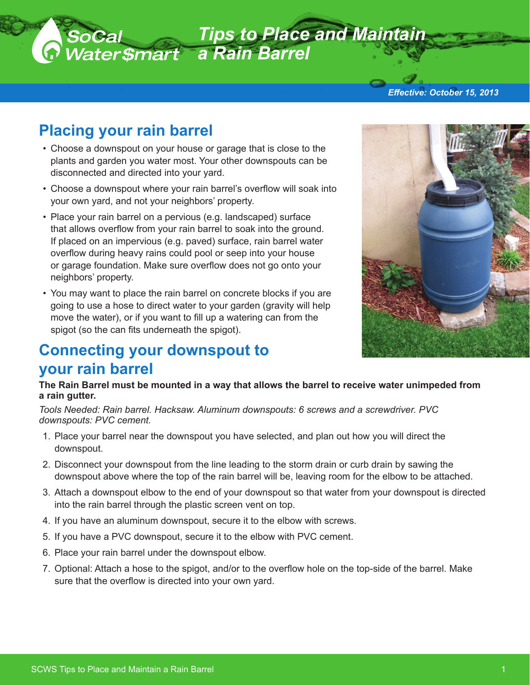

# **Placing your rain barrel**

- Choose a downspout on your house or garage that is close to the plants and garden you water most. Your other downspouts can be disconnected and directed into your yard.
- Choose a downspout where your rain barrel's overflow will soak into your own yard, and not your neighbors' property.
- Place your rain barrel on a pervious (e.g. landscaped) surface that allows overflow from your rain barrel to soak into the ground. If placed on an impervious (e.g. paved) surface, rain barrel water overflow during heavy rains could pool or seep into your house or garage foundation. Make sure overflow does not go onto your neighbors' property.
- You may want to place the rain barrel on concrete blocks if you are going to use a hose to direct water to your garden (gravity will help move the water), or if you want to fill up a watering can from the spigot (so the can fits underneath the spigot).

### **Connecting your downspout to your rain barrel**

**The Rain Barrel must be mounted in a way that allows the barrel to receive water unimpeded from a rain gutter.** 

*Tools Needed: Rain barrel. Hacksaw. Aluminum downspouts: 6 screws and a screwdriver. PVC downspouts: PVC cement.* 

- 1. Place your barrel near the downspout you have selected, and plan out how you will direct the downspout.
- 2. Disconnect your downspout from the line leading to the storm drain or curb drain by sawing the downspout above where the top of the rain barrel will be, leaving room for the elbow to be attached.
- 3. Attach a downspout elbow to the end of your downspout so that water from your downspout is directed into the rain barrel through the plastic screen vent on top.
- 4. If you have an aluminum downspout, secure it to the elbow with screws.
- 5. If you have a PVC downspout, secure it to the elbow with PVC cement.
- 6. Place your rain barrel under the downspout elbow.
- 7. Optional: Attach a hose to the spigot, and/or to the overflow hole on the top-side of the barrel. Make sure that the overflow is directed into your own yard.





*Effective: October 15, 2013*